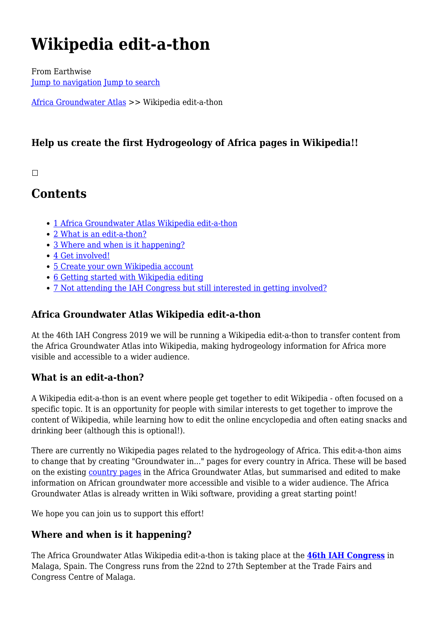# **Wikipedia edit-a-thon**

From Earthwise [Jump to navigation](#page--1-0) [Jump to search](#page--1-0)

[Africa Groundwater Atlas](http://earthwise.bgs.ac.uk/index.php/Africa_Groundwater_Atlas_Home) >> Wikipedia edit-a-thon

# **Help us create the first Hydrogeology of Africa pages in Wikipedia!!**

#### $\Box$

# **Contents**

- [1](#page--1-0) [Africa Groundwater Atlas Wikipedia edit-a-thon](#page--1-0)
- [2](#What_is_an_edit-a-thon.3F) [What is an edit-a-thon?](#What_is_an_edit-a-thon.3F)
- [3](#Where_and_when_is_it_happening.3F) [Where and when is it happening?](#Where_and_when_is_it_happening.3F)
- [4](#Get_involved.21) [Get involved!](#Get_involved.21)
- [5](#page--1-0) [Create your own Wikipedia account](#page--1-0)
- [6](#page--1-0) [Getting started with Wikipedia editing](#page--1-0)
- [7](#Not_attending_the_IAH_Congress_but_still_interested_in_getting_involved.3F) [Not attending the IAH Congress but still interested in getting involved?](#Not_attending_the_IAH_Congress_but_still_interested_in_getting_involved.3F)

# **Africa Groundwater Atlas Wikipedia edit-a-thon**

At the 46th IAH Congress 2019 we will be running a Wikipedia edit-a-thon to transfer content from the Africa Groundwater Atlas into Wikipedia, making hydrogeology information for Africa more visible and accessible to a wider audience.

## **What is an edit-a-thon?**

A Wikipedia edit-a-thon is an event where people get together to edit Wikipedia - often focused on a specific topic. It is an opportunity for people with similar interests to get together to improve the content of Wikipedia, while learning how to edit the online encyclopedia and often eating snacks and drinking beer (although this is optional!).

There are currently no Wikipedia pages related to the hydrogeology of Africa. This edit-a-thon aims to change that by creating "Groundwater in..." pages for every country in Africa. These will be based on the existing [country pages](http://earthwise.bgs.ac.uk/index.php/Hydrogeology_by_country) in the Africa Groundwater Atlas, but summarised and edited to make information on African groundwater more accessible and visible to a wider audience. The Africa Groundwater Atlas is already written in Wiki software, providing a great starting point!

We hope you can join us to support this effort!

# **Where and when is it happening?**

The Africa Groundwater Atlas Wikipedia edit-a-thon is taking place at the **[46th IAH Congress](http://www.iah2019.org/)** in Malaga, Spain. The Congress runs from the 22nd to 27th September at the Trade Fairs and Congress Centre of Malaga.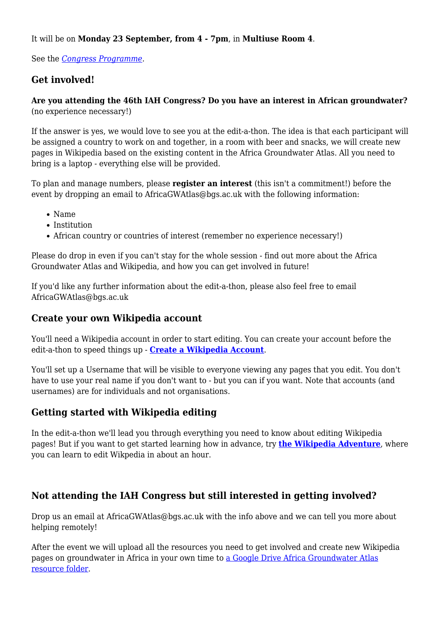It will be on **Monday 23 September, from 4 - 7pm**, in **Multiuse Room 4**.

See the *[Congress Programme](http://www.iah2019.org/wp-content/uploads/IAH2019_Programme_web.pdf)*.

## **Get involved!**

#### **Are you attending the 46th IAH Congress? Do you have an interest in African groundwater?** (no experience necessary!)

If the answer is yes, we would love to see you at the edit-a-thon. The idea is that each participant will be assigned a country to work on and together, in a room with beer and snacks, we will create new pages in Wikipedia based on the existing content in the Africa Groundwater Atlas. All you need to bring is a laptop - everything else will be provided.

To plan and manage numbers, please **register an interest** (this isn't a commitment!) before the event by dropping an email to AfricaGWAtlas@bgs.ac.uk with the following information:

- Name
- Institution
- African country or countries of interest (remember no experience necessary!)

Please do drop in even if you can't stay for the whole session - find out more about the Africa Groundwater Atlas and Wikipedia, and how you can get involved in future!

If you'd like any further information about the edit-a-thon, please also feel free to email AfricaGWAtlas@bgs.ac.uk

#### **Create your own Wikipedia account**

You'll need a Wikipedia account in order to start editing. You can create your account before the edit-a-thon to speed things up - **[Create a Wikipedia Account](https://en.wikipedia.org/w/index.php?title=Special:CreateAccount)**.

You'll set up a Username that will be visible to everyone viewing any pages that you edit. You don't have to use your real name if you don't want to - but you can if you want. Note that accounts (and usernames) are for individuals and not organisations.

## **Getting started with Wikipedia editing**

In the edit-a-thon we'll lead you through everything you need to know about editing Wikipedia pages! But if you want to get started learning how in advance, try **[the Wikipedia Adventure](https://en.wikipedia.org/wiki/Wikipedia:The_Wikipedia_Adventure)**, where you can learn to edit Wikpedia in about an hour.

## **Not attending the IAH Congress but still interested in getting involved?**

Drop us an email at AfricaGWAtlas@bgs.ac.uk with the info above and we can tell you more about helping remotely!

After the event we will upload all the resources you need to get involved and create new Wikipedia pages on groundwater in Africa in your own time to [a Google Drive Africa Groundwater Atlas](https://drive.google.com/drive/folders/1Z7azj8fVB5YuARpD7dF1Hl7WJYxhQ8Rg) [resource folder](https://drive.google.com/drive/folders/1Z7azj8fVB5YuARpD7dF1Hl7WJYxhQ8Rg).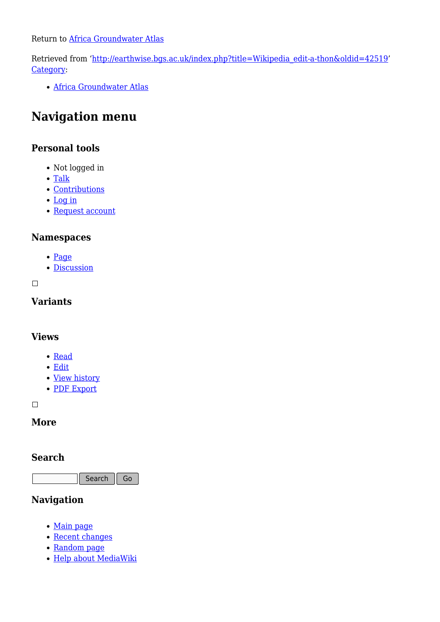Return to [Africa Groundwater Atlas](http://earthwise.bgs.ac.uk/index.php/Africa_Groundwater_Atlas_Home)

Retrieved from ['http://earthwise.bgs.ac.uk/index.php?title=Wikipedia\\_edit-a-thon&oldid=42519](http://earthwise.bgs.ac.uk/index.php?title=Wikipedia_edit-a-thon&oldid=42519)' [Category](http://earthwise.bgs.ac.uk/index.php/Special:Categories):

[Africa Groundwater Atlas](http://earthwise.bgs.ac.uk/index.php/Category:Africa_Groundwater_Atlas)

# **Navigation menu**

## **Personal tools**

- Not logged in
- [Talk](http://earthwise.bgs.ac.uk/index.php/Special:MyTalk)
- [Contributions](http://earthwise.bgs.ac.uk/index.php/Special:MyContributions)
- [Log in](http://earthwise.bgs.ac.uk/index.php?title=Special:UserLogin&returnto=Wikipedia+edit-a-thon&returntoquery=action%3Dmpdf)
- [Request account](http://earthwise.bgs.ac.uk/index.php/Special:RequestAccount)

#### **Namespaces**

- [Page](http://earthwise.bgs.ac.uk/index.php/Wikipedia_edit-a-thon)
- [Discussion](http://earthwise.bgs.ac.uk/index.php?title=Talk:Wikipedia_edit-a-thon&action=edit&redlink=1)

 $\overline{\phantom{a}}$ 

#### **Variants**

#### **Views**

- [Read](http://earthwise.bgs.ac.uk/index.php/Wikipedia_edit-a-thon)
- [Edit](http://earthwise.bgs.ac.uk/index.php?title=Wikipedia_edit-a-thon&action=edit)
- [View history](http://earthwise.bgs.ac.uk/index.php?title=Wikipedia_edit-a-thon&action=history)
- [PDF Export](http://earthwise.bgs.ac.uk/index.php?title=Wikipedia_edit-a-thon&action=mpdf)

 $\Box$ 

#### **More**

#### **Search**

Search  $\|\mathsf{Go}\|$ 

# **Navigation**

- [Main page](http://earthwise.bgs.ac.uk/index.php/Main_Page)
- [Recent changes](http://earthwise.bgs.ac.uk/index.php/Special:RecentChanges)
- [Random page](http://earthwise.bgs.ac.uk/index.php/Special:Random)
- [Help about MediaWiki](https://www.mediawiki.org/wiki/Special:MyLanguage/Help:Contents)